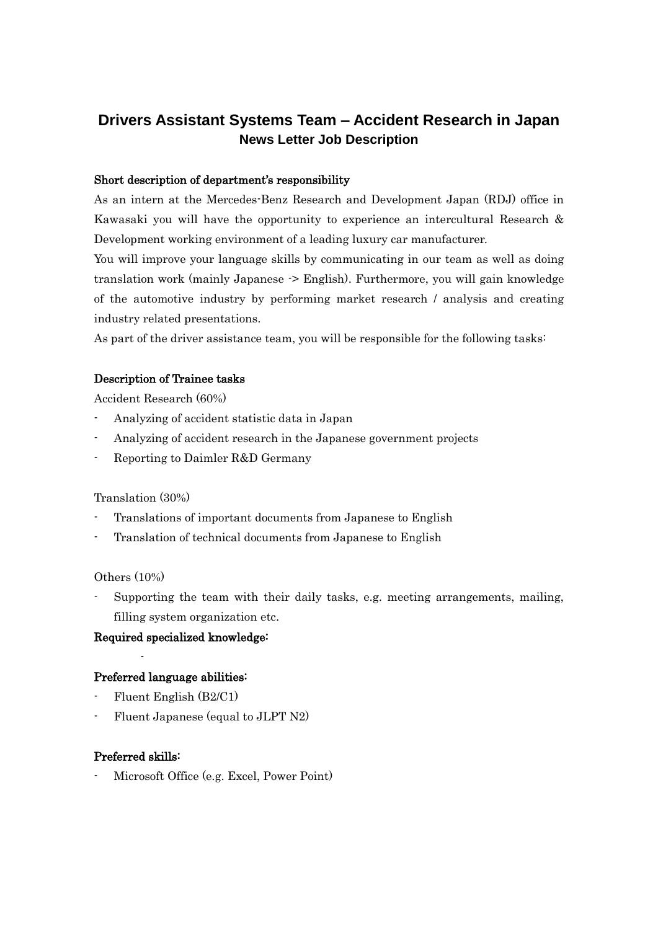# **Drivers Assistant Systems Team – Accident Research in Japan News Letter Job Description**

#### Short description of department's responsibility

As an intern at the Mercedes-Benz Research and Development Japan (RDJ) office in Kawasaki you will have the opportunity to experience an intercultural Research & Development working environment of a leading luxury car manufacturer.

You will improve your language skills by communicating in our team as well as doing translation work (mainly Japanese -> English). Furthermore, you will gain knowledge of the automotive industry by performing market research / analysis and creating industry related presentations.

As part of the driver assistance team, you will be responsible for the following tasks:

## Description of Trainee tasks

Accident Research (60%)

- Analyzing of accident statistic data in Japan
- Analyzing of accident research in the Japanese government projects
- Reporting to Daimler R&D Germany

#### Translation (30%)

- Translations of important documents from Japanese to English
- Translation of technical documents from Japanese to English

#### Others (10%)

Supporting the team with their daily tasks, e.g. meeting arrangements, mailing, filling system organization etc.

#### Required specialized knowledge:

#### Preferred language abilities:

- Fluent English (B2/C1)
- Fluent Japanese (equal to JLPT N2)

### Preferred skills:

-

Microsoft Office (e.g. Excel, Power Point)